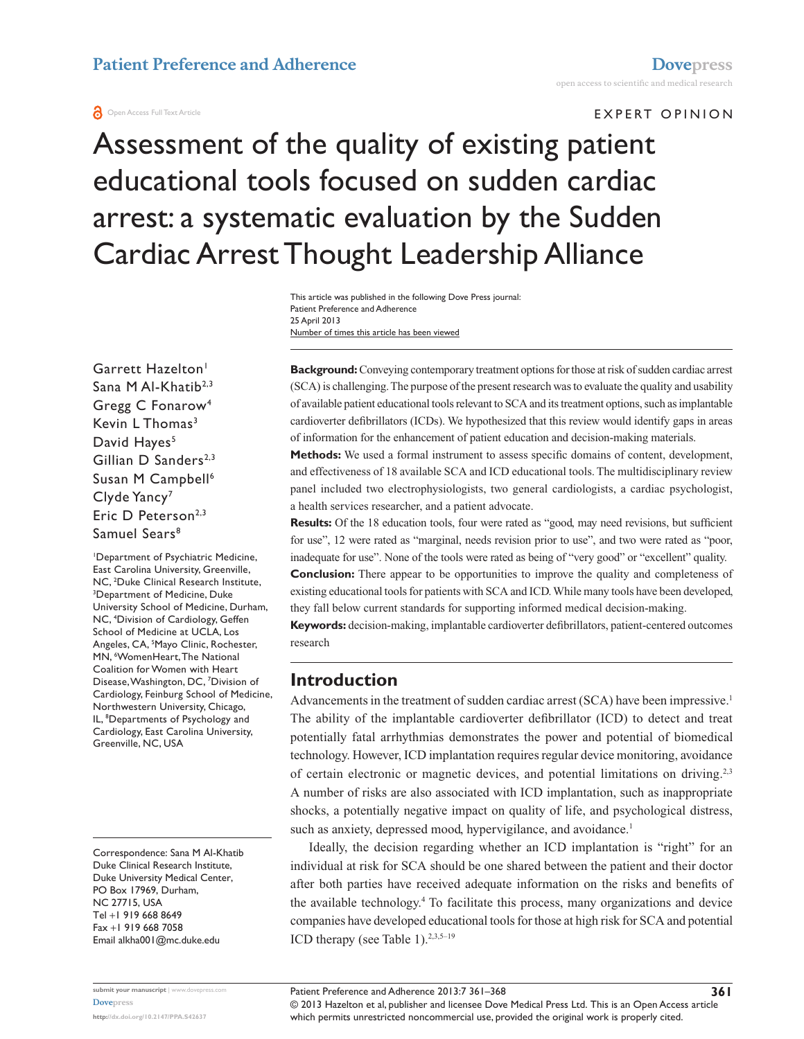#### **a** Open Access Full Text Article

#### E x pert O pinion

Assessment of the quality of existing patient educational tools focused on sudden cardiac arrest: a systematic evaluation by the Sudden Cardiac Arrest Thought Leadership Alliance

> Number of times this article has been viewed This article was published in the following Dove Press journal: Patient Preference and Adherence 25 April 2013

Garrett Hazelton<sup>1</sup> Sana M Al-Khatib<sup>2,3</sup> Gregg C Fonarow4 Kevin L Thomas<sup>3</sup> David Hayes<sup>5</sup> Gillian D Sanders<sup>2,3</sup> Susan M Campbell<sup>6</sup> Clyde Yancy<sup>7</sup> Eric D Peterson<sup>2,3</sup> Samuel Sears<sup>8</sup>

1 Department of Psychiatric Medicine, East Carolina University, Greenville, NC, <sup>2</sup>Duke Clinical Research Institute,<br><sup>3</sup>Department of Medicine, Duke Department of Medicine, Duke University School of Medicine, Durham, NC, 4 Division of Cardiology, Geffen School of Medicine at UCLA, Los Angeles, CA, <sup>5</sup>Mayo Clinic, Rochester, MN, <sup>6</sup>WomenHeart, The National Coalition for Women with Heart Disease, Washington, DC, 7 Division of Cardiology, Feinburg School of Medicine, Northwestern University, Chicago, IL, <sup>8</sup>Departments of Psychology and Cardiology, East Carolina University, Greenville, NC, USA

Correspondence: Sana M Al-Khatib Duke Clinical Research Institute, Duke University Medical Center, PO Box 17969, Durham, NC 27715, USA Tel +1 919 668 8649 Fax +1 919 668 7058 Email [alkha001@mc.duke.edu](mailto:alkha001@mc.duke.edu)

**Background:** Conveying contemporary treatment options for those at risk of sudden cardiac arrest (SCA) is challenging. The purpose of the present research was to evaluate the quality and usability of available patient educational tools relevant to SCA and its treatment options, such as implantable cardioverter defibrillators (ICDs). We hypothesized that this review would identify gaps in areas of information for the enhancement of patient education and decision-making materials.

**Methods:** We used a formal instrument to assess specific domains of content, development, and effectiveness of 18 available SCA and ICD educational tools. The multidisciplinary review panel included two electrophysiologists, two general cardiologists, a cardiac psychologist, a health services researcher, and a patient advocate.

**Results:** Of the 18 education tools, four were rated as "good, may need revisions, but sufficient for use", 12 were rated as "marginal, needs revision prior to use", and two were rated as "poor, inadequate for use". None of the tools were rated as being of "very good" or "excellent" quality.

**Conclusion:** There appear to be opportunities to improve the quality and completeness of existing educational tools for patients with SCA and ICD. While many tools have been developed, they fall below current standards for supporting informed medical decision-making.

**Keywords:** decision-making, implantable cardioverter defibrillators, patient-centered outcomes research

## **Introduction**

Advancements in the treatment of sudden cardiac arrest (SCA) have been impressive.<sup>1</sup> The ability of the implantable cardioverter defibrillator (ICD) to detect and treat potentially fatal arrhythmias demonstrates the power and potential of biomedical technology. However, ICD implantation requires regular device monitoring, avoidance of certain electronic or magnetic devices, and potential limitations on driving.2,3 A number of risks are also associated with ICD implantation, such as inappropriate shocks, a potentially negative impact on quality of life, and psychological distress, such as anxiety, depressed mood, hypervigilance, and avoidance.<sup>1</sup>

Ideally, the decision regarding whether an ICD implantation is "right" for an individual at risk for SCA should be one shared between the patient and their doctor after both parties have received adequate information on the risks and benefits of the available technology.<sup>4</sup> To facilitate this process, many organizations and device companies have developed educational tools for those at high risk for SCA and potential ICD therapy (see Table 1). $2,3,5-19$ 

**<http://dx.doi.org/10.2147/PPA.S42637>**

**[Dovepress](www.dovepress.com)**

**submit your manuscript** | <www.dovepress.com>

© 2013 Hazelton et al, publisher and licensee Dove Medical Press Ltd. This is an Open Access article which permits unrestricted noncommercial use, provided the original work is properly cited.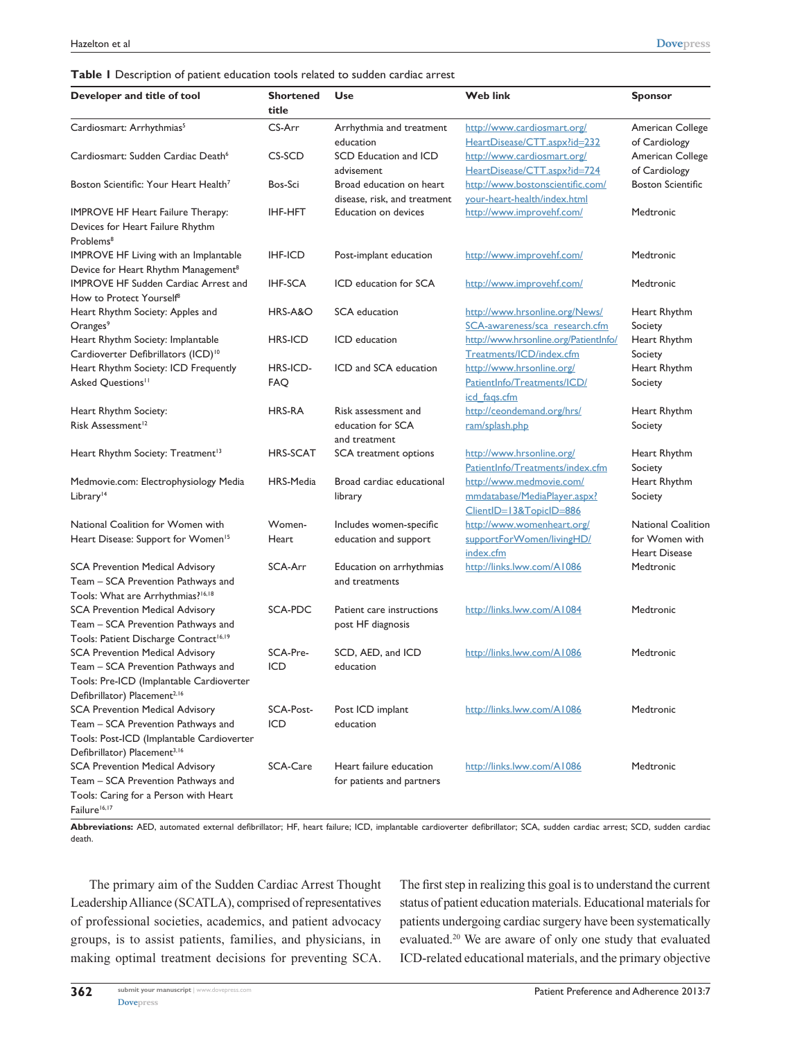| Developer and title of tool                               | <b>Shortened</b><br>title | Use                          | <b>Web link</b>                                         | <b>Sponsor</b>            |
|-----------------------------------------------------------|---------------------------|------------------------------|---------------------------------------------------------|---------------------------|
| Cardiosmart: Arrhythmias <sup>5</sup>                     | CS-Arr                    | Arrhythmia and treatment     | http://www.cardiosmart.org/                             | American College          |
|                                                           |                           | education                    | HeartDisease/CTT.aspx?id=232                            | of Cardiology             |
| Cardiosmart: Sudden Cardiac Death <sup>6</sup>            | CS-SCD                    | SCD Education and ICD        | http://www.cardiosmart.org/                             | American College          |
|                                                           |                           | advisement                   | HeartDisease/CTT.aspx?id=724                            | of Cardiology             |
| Boston Scientific: Your Heart Health <sup>7</sup>         | Bos-Sci                   | Broad education on heart     | http://www.bostonscientific.com/                        | <b>Boston Scientific</b>  |
|                                                           |                           | disease, risk, and treatment | your-heart-health/index.html                            |                           |
| <b>IMPROVE HF Heart Failure Therapy:</b>                  | <b>IHF-HFT</b>            | Education on devices         | http://www.improvehf.com/                               | Medtronic                 |
| Devices for Heart Failure Rhythm<br>Problems <sup>8</sup> |                           |                              |                                                         |                           |
| IMPROVE HF Living with an Implantable                     | <b>IHF-ICD</b>            | Post-implant education       | http://www.improvehf.com/                               | Medtronic                 |
| Device for Heart Rhythm Management <sup>8</sup>           |                           |                              |                                                         |                           |
| <b>IMPROVE HF Sudden Cardiac Arrest and</b>               | <b>IHF-SCA</b>            | ICD education for SCA        | http://www.improvehf.com/                               | Medtronic                 |
| How to Protect Yourself <sup>8</sup>                      |                           |                              |                                                         |                           |
| Heart Rhythm Society: Apples and                          | HRS-A&O                   | SCA education                | http://www.hrsonline.org/News/                          | Heart Rhythm              |
| Oranges <sup>9</sup>                                      |                           |                              | SCA-awareness/sca_research.cfm                          | Society                   |
| Heart Rhythm Society: Implantable                         | <b>HRS-ICD</b>            | ICD education                | http://www.hrsonline.org/Patientlnfo/                   | Heart Rhythm              |
| Cardioverter Defibrillators (ICD) <sup>10</sup>           |                           |                              | Treatments/ICD/index.cfm                                | Society                   |
| Heart Rhythm Society: ICD Frequently                      | HRS-ICD-                  | ICD and SCA education        | http://www.hrsonline.org/                               | Heart Rhythm              |
| Asked Questions <sup>11</sup>                             | <b>FAQ</b>                |                              | Patientlnfo/Treatments/ICD/                             | Society                   |
|                                                           |                           |                              | icd fags.cfm                                            |                           |
| Heart Rhythm Society:                                     | <b>HRS-RA</b>             | Risk assessment and          | http://ceondemand.org/hrs/                              | Heart Rhythm              |
| Risk Assessment <sup>12</sup>                             |                           | education for SCA            | ram/splash.php                                          | Society                   |
|                                                           |                           | and treatment                |                                                         |                           |
| Heart Rhythm Society: Treatment <sup>13</sup>             | <b>HRS-SCAT</b>           | SCA treatment options        | http://www.hrsonline.org/                               | Heart Rhythm              |
|                                                           |                           |                              | Patientlnfo/Treatments/index.cfm                        | Society                   |
| Medmovie.com: Electrophysiology Media                     | HRS-Media                 | Broad cardiac educational    | http://www.medmovie.com/                                | Heart Rhythm              |
| Library <sup>14</sup>                                     |                           | library                      | mmdatabase/MediaPlayer.aspx?<br>ClientID=13&TopicID=886 | Society                   |
| National Coalition for Women with                         | Women-                    | Includes women-specific      | http://www.womenheart.org/                              | <b>National Coalition</b> |
| Heart Disease: Support for Women <sup>15</sup>            | Heart                     | education and support        | supportForWomen/livingHD/                               | for Women with            |
|                                                           |                           |                              | index.cfm                                               | <b>Heart Disease</b>      |
| <b>SCA Prevention Medical Advisory</b>                    | SCA-Arr                   | Education on arrhythmias     | http://links.lww.com/A1086                              | Medtronic                 |
| Team - SCA Prevention Pathways and                        |                           | and treatments               |                                                         |                           |
| Tools: What are Arrhythmias? <sup>16,18</sup>             |                           |                              |                                                         |                           |
| <b>SCA Prevention Medical Advisory</b>                    | SCA-PDC                   | Patient care instructions    | http://links.lww.com/A1084                              | Medtronic                 |
| Team - SCA Prevention Pathways and                        |                           | post HF diagnosis            |                                                         |                           |
| Tools: Patient Discharge Contract <sup>16,19</sup>        |                           |                              |                                                         |                           |
| <b>SCA Prevention Medical Advisory</b>                    | SCA-Pre-                  | SCD, AED, and ICD            | http://links.lww.com/A1086                              | Medtronic                 |
| Team - SCA Prevention Pathways and                        | ICD                       | education                    |                                                         |                           |
| Tools: Pre-ICD (Implantable Cardioverter                  |                           |                              |                                                         |                           |
| Defibrillator) Placement <sup>2,16</sup>                  |                           |                              |                                                         |                           |
| SCA Prevention Medical Advisory                           | SCA-Post-                 | Post ICD implant             | http://links.lww.com/A1086                              | Medtronic                 |
| Team – SCA Prevention Pathways and                        | ICD                       | education                    |                                                         |                           |
| Tools: Post-ICD (Implantable Cardioverter                 |                           |                              |                                                         |                           |
| Defibrillator) Placement <sup>3,16</sup>                  |                           |                              |                                                         |                           |
| <b>SCA Prevention Medical Advisory</b>                    | SCA-Care                  | Heart failure education      | http://links.lww.com/A1086                              | Medtronic                 |
| Team - SCA Prevention Pathways and                        |                           | for patients and partners    |                                                         |                           |
| Tools: Caring for a Person with Heart                     |                           |                              |                                                         |                           |
| Failure <sup>16,17</sup>                                  |                           |                              |                                                         |                           |

**Abbreviations:** AED, automated external defibrillator; HF, heart failure; ICD, implantable cardioverter defibrillator; SCA, sudden cardiac arrest; SCD, sudden cardiac death.

The primary aim of the Sudden Cardiac Arrest Thought Leadership Alliance (SCATLA), comprised of representatives of professional societies, academics, and patient advocacy groups, is to assist patients, families, and physicians, in making optimal treatment decisions for preventing SCA. The first step in realizing this goal is to understand the current status of patient education materials. Educational materials for patients undergoing cardiac surgery have been systematically evaluated.20 We are aware of only one study that evaluated ICD-related educational materials, and the primary objective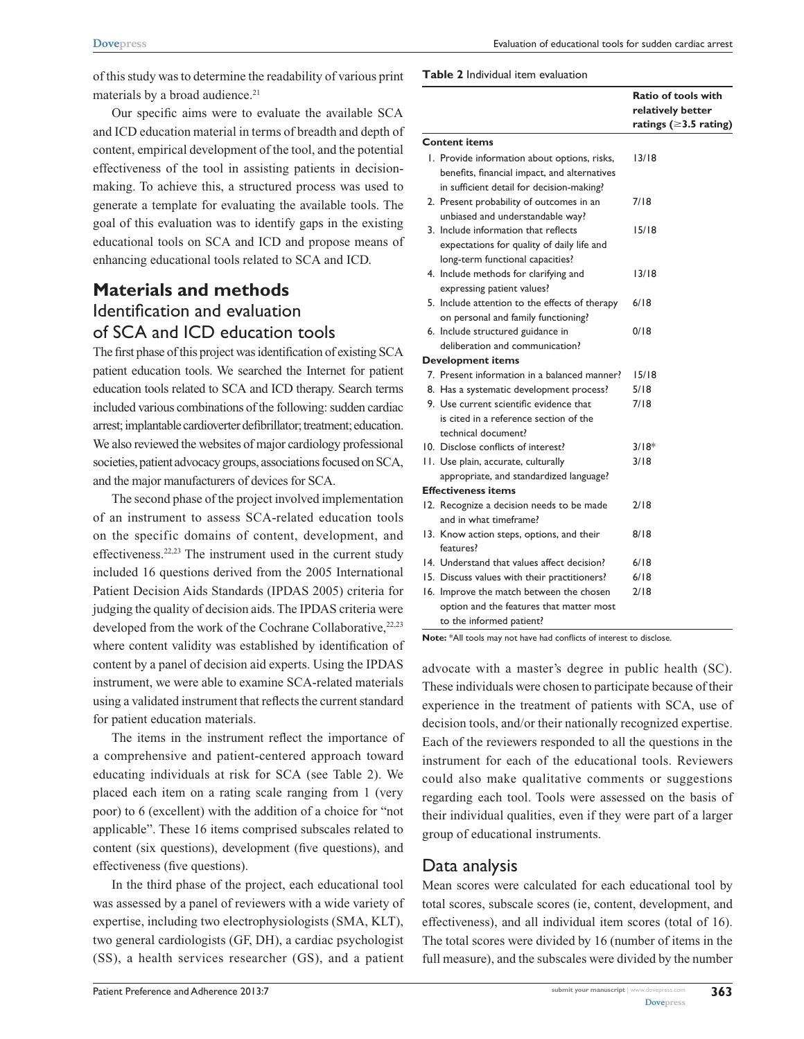of this study was to determine the readability of various print materials by a broad audience.<sup>21</sup>

Our specific aims were to evaluate the available SCA and ICD education material in terms of breadth and depth of content, empirical development of the tool, and the potential effectiveness of the tool in assisting patients in decisionmaking. To achieve this, a structured process was used to generate a template for evaluating the available tools. The goal of this evaluation was to identify gaps in the existing educational tools on SCA and ICD and propose means of enhancing educational tools related to SCA and ICD.

# **Materials and methods** Identification and evaluation of SCA and ICD education tools

The first phase of this project was identification of existing SCA patient education tools. We searched the Internet for patient education tools related to SCA and ICD therapy. Search terms included various combinations of the following: sudden cardiac arrest; implantable cardioverter defibrillator; treatment; education. We also reviewed the websites of major cardiology professional societies, patient advocacy groups, associations focused on SCA, and the major manufacturers of devices for SCA.

The second phase of the project involved implementation of an instrument to assess SCA-related education tools on the specific domains of content, development, and effectiveness.22,23 The instrument used in the current study included 16 questions derived from the 2005 International Patient Decision Aids Standards (IPDAS 2005) criteria for judging the quality of decision aids. The IPDAS criteria were developed from the work of the Cochrane Collaborative,<sup>22,23</sup> where content validity was established by identification of content by a panel of decision aid experts. Using the IPDAS instrument, we were able to examine SCA-related materials using a validated instrument that reflects the current standard for patient education materials.

The items in the instrument reflect the importance of a comprehensive and patient-centered approach toward educating individuals at risk for SCA (see Table 2). We placed each item on a rating scale ranging from 1 (very poor) to 6 (excellent) with the addition of a choice for "not applicable". These 16 items comprised subscales related to content (six questions), development (five questions), and effectiveness (five questions).

In the third phase of the project, each educational tool was assessed by a panel of reviewers with a wide variety of expertise, including two electrophysiologists (SMA, KLT), two general cardiologists (GF, DH), a cardiac psychologist (SS), a health services researcher (GS), and a patient

| <b>Table 2</b> Individual item evaluation |  |
|-------------------------------------------|--|
|-------------------------------------------|--|

|                                                                                                                                           | <b>Ratio of tools with</b><br>relatively better<br>ratings ( $\geq$ 3.5 rating) |
|-------------------------------------------------------------------------------------------------------------------------------------------|---------------------------------------------------------------------------------|
| Content items                                                                                                                             |                                                                                 |
| I. Provide information about options, risks,<br>benefits, financial impact, and alternatives<br>in sufficient detail for decision-making? | 13/18                                                                           |
| 2. Present probability of outcomes in an<br>unbiased and understandable way?                                                              | 7/18                                                                            |
| 3. Include information that reflects<br>expectations for quality of daily life and<br>long-term functional capacities?                    | 15/18                                                                           |
| 4. Include methods for clarifying and<br>expressing patient values?                                                                       | 13/18                                                                           |
| 5. Include attention to the effects of therapy<br>on personal and family functioning?                                                     | 6/18                                                                            |
| 6. Include structured guidance in<br>deliberation and communication?                                                                      | 0/18                                                                            |
| <b>Development items</b>                                                                                                                  |                                                                                 |
| 7. Present information in a balanced manner?                                                                                              | 15/18                                                                           |
| 8. Has a systematic development process?                                                                                                  | 5/18                                                                            |
| 9. Use current scientific evidence that<br>is cited in a reference section of the<br>technical document?                                  | 7/18                                                                            |
| 10. Disclose conflicts of interest?                                                                                                       | $3/18*$                                                                         |
| 11. Use plain, accurate, culturally<br>appropriate, and standardized language?                                                            | 3/18                                                                            |
| <b>Effectiveness items</b>                                                                                                                |                                                                                 |
| 12. Recognize a decision needs to be made<br>and in what timeframe?                                                                       | 2/18                                                                            |
| 13. Know action steps, options, and their<br>features?                                                                                    | 8/18                                                                            |
| 14. Understand that values affect decision?                                                                                               | 6/18                                                                            |
| 15. Discuss values with their practitioners?                                                                                              | 6/18                                                                            |
| 16. Improve the match between the chosen<br>option and the features that matter most<br>to the informed patient?                          | 2/18                                                                            |

**Note:** \*All tools may not have had conflicts of interest to disclose.

advocate with a master's degree in public health (SC). These individuals were chosen to participate because of their experience in the treatment of patients with SCA, use of decision tools, and/or their nationally recognized expertise. Each of the reviewers responded to all the questions in the instrument for each of the educational tools. Reviewers could also make qualitative comments or suggestions regarding each tool. Tools were assessed on the basis of their individual qualities, even if they were part of a larger group of educational instruments.

### Data analysis

Mean scores were calculated for each educational tool by total scores, subscale scores (ie, content, development, and effectiveness), and all individual item scores (total of 16). The total scores were divided by 16 (number of items in the full measure), and the subscales were divided by the number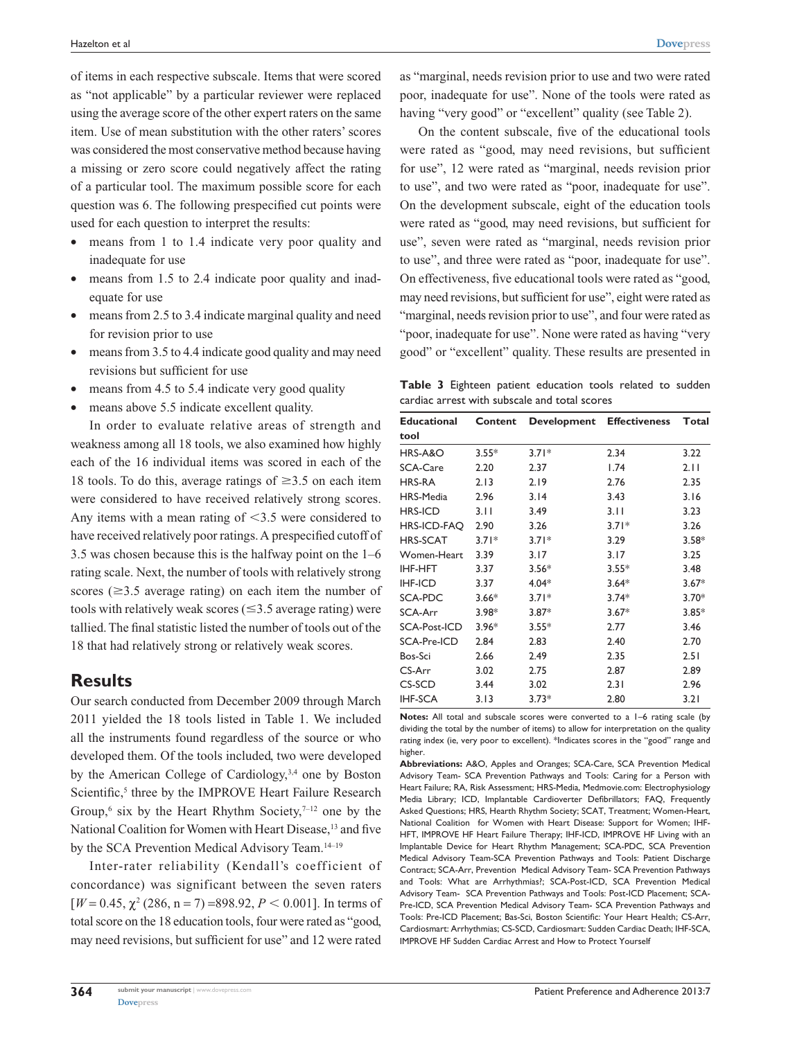of items in each respective subscale. Items that were scored as "not applicable" by a particular reviewer were replaced using the average score of the other expert raters on the same item. Use of mean substitution with the other raters' scores was considered the most conservative method because having a missing or zero score could negatively affect the rating of a particular tool. The maximum possible score for each question was 6. The following prespecified cut points were used for each question to interpret the results:

- means from 1 to 1.4 indicate very poor quality and inadequate for use
- means from 1.5 to 2.4 indicate poor quality and inadequate for use
- means from 2.5 to 3.4 indicate marginal quality and need for revision prior to use
- means from 3.5 to 4.4 indicate good quality and may need revisions but sufficient for use
- means from 4.5 to 5.4 indicate very good quality
- means above 5.5 indicate excellent quality.

In order to evaluate relative areas of strength and weakness among all 18 tools, we also examined how highly each of the 16 individual items was scored in each of the 18 tools. To do this, average ratings of  $\geq 3.5$  on each item were considered to have received relatively strong scores. Any items with a mean rating of  $\leq$ 3.5 were considered to have received relatively poor ratings. A prespecified cutoff of 3.5 was chosen because this is the halfway point on the 1–6 rating scale. Next, the number of tools with relatively strong scores ( $\geq$ 3.5 average rating) on each item the number of tools with relatively weak scores  $(\leq 3.5$  average rating) were tallied. The final statistic listed the number of tools out of the 18 that had relatively strong or relatively weak scores.

### **Results**

Our search conducted from December 2009 through March 2011 yielded the 18 tools listed in Table 1. We included all the instruments found regardless of the source or who developed them. Of the tools included, two were developed by the American College of Cardiology,<sup>3,4</sup> one by Boston Scientific,<sup>5</sup> three by the IMPROVE Heart Failure Research Group,<sup>6</sup> six by the Heart Rhythm Society, $7-12$  one by the National Coalition for Women with Heart Disease,<sup>13</sup> and five by the SCA Prevention Medical Advisory Team.<sup>14–19</sup>

Inter-rater reliability (Kendall's coefficient of concordance) was significant between the seven raters  $[W = 0.45, \chi^2(286, n = 7) = 898.92, P < 0.001]$ . In terms of total score on the 18 education tools, four were rated as "good, may need revisions, but sufficient for use" and 12 were rated

as "marginal, needs revision prior to use and two were rated poor, inadequate for use". None of the tools were rated as having "very good" or "excellent" quality (see Table 2).

On the content subscale, five of the educational tools were rated as "good, may need revisions, but sufficient for use", 12 were rated as "marginal, needs revision prior to use", and two were rated as "poor, inadequate for use". On the development subscale, eight of the education tools were rated as "good, may need revisions, but sufficient for use", seven were rated as "marginal, needs revision prior to use", and three were rated as "poor, inadequate for use". On effectiveness, five educational tools were rated as "good, may need revisions, but sufficient for use", eight were rated as "marginal, needs revision prior to use", and four were rated as "poor, inadequate for use". None were rated as having "very good" or "excellent" quality. These results are presented in

**Table 3** Eighteen patient education tools related to sudden cardiac arrest with subscale and total scores

| <b>Educational</b>  | Content | Development | <b>Effectiveness</b> | Total   |
|---------------------|---------|-------------|----------------------|---------|
| tool                |         |             |                      |         |
| HRS-A&O             | $3.55*$ | $3.71*$     | 2.34                 | 3.22    |
| <b>SCA-Care</b>     | 2.20    | 2.37        | 1.74                 | 2.11    |
| <b>HRS-RA</b>       | 2.13    | 2.19        | 2.76                 | 2.35    |
| HRS-Media           | 2.96    | 3.14        | 3.43                 | 3.16    |
| <b>HRS-ICD</b>      | 3.11    | 3.49        | 3.11                 | 3.23    |
| HRS-ICD-FAQ         | 2.90    | 3.26        | $3.71*$              | 3.26    |
| <b>HRS-SCAT</b>     | $3.71*$ | $3.71*$     | 3.29                 | $3.58*$ |
| Women-Heart         | 3.39    | 3.17        | 3.17                 | 3.25    |
| <b>IHF-HFT</b>      | 3.37    | $3.56*$     | $3.55*$              | 3.48    |
| <b>IHF-ICD</b>      | 3.37    | $4.04*$     | $3.64*$              | $3.67*$ |
| SCA-PDC             | $3.66*$ | $3.71*$     | $3.74*$              | $3.70*$ |
| SCA-Arr             | $3.98*$ | $3.87*$     | $3.67*$              | $3.85*$ |
| <b>SCA-Post-ICD</b> | $3.96*$ | $3.55*$     | 2.77                 | 3.46    |
| SCA-Pre-ICD         | 2.84    | 2.83        | 2.40                 | 2.70    |
| Bos-Sci             | 2.66    | 2.49        | 2.35                 | 2.51    |
| CS-Arr              | 3.02    | 2.75        | 2.87                 | 2.89    |
| CS-SCD              | 3.44    | 3.02        | 2.31                 | 2.96    |
| <b>IHF-SCA</b>      | 3.13    | $3.73*$     | 2.80                 | 3.21    |

**Notes:** All total and subscale scores were converted to a 1–6 rating scale (by dividing the total by the number of items) to allow for interpretation on the quality rating index (ie, very poor to excellent). \*Indicates scores in the "good" range and higher.

**Abbreviations:** A&O, Apples and Oranges; SCA-Care, SCA Prevention Medical Advisory Team- SCA Prevention Pathways and Tools: Caring for a Person with Heart Failure; RA, Risk Assessment; HRS-Media, Medmovie.com: Electrophysiology Media Library; ICD, Implantable Cardioverter Defibrillators; FAQ, Frequently Asked Questions; HRS, Hearth Rhythm Society; SCAT, Treatment; Women-Heart, National Coalition for Women with Heart Disease: Support for Women; IHF-HFT, IMPROVE HF Heart Failure Therapy; IHF-ICD, IMPROVE HF Living with an Implantable Device for Heart Rhythm Management; SCA-PDC, SCA Prevention Medical Advisory Team-SCA Prevention Pathways and Tools: Patient Discharge Contract; SCA-Arr, Prevention Medical Advisory Team- SCA Prevention Pathways and Tools: What are Arrhythmias?; SCA-Post-ICD, SCA Prevention Medical Advisory Team- SCA Prevention Pathways and Tools: Post-ICD Placement; SCA-Pre-ICD, SCA Prevention Medical Advisory Team- SCA Prevention Pathways and Tools: Pre-ICD Placement; Bas-Sci, Boston Scientific: Your Heart Health; CS-Arr, Cardiosmart: Arrhythmias; CS-SCD, Cardiosmart: Sudden Cardiac Death; IHF-SCA, IMPROVE HF Sudden Cardiac Arrest and How to Protect Yourself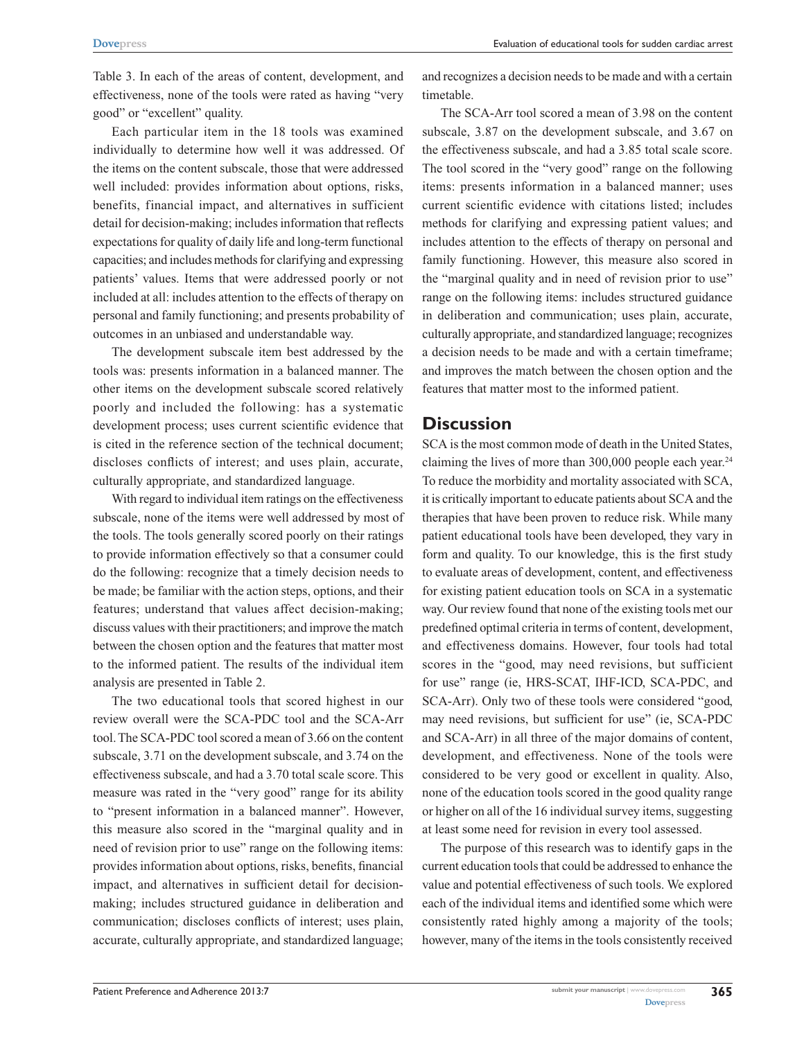Table 3. In each of the areas of content, development, and effectiveness, none of the tools were rated as having "very good" or "excellent" quality.

Each particular item in the 18 tools was examined individually to determine how well it was addressed. Of the items on the content subscale, those that were addressed well included: provides information about options, risks, benefits, financial impact, and alternatives in sufficient detail for decision-making; includes information that reflects expectations for quality of daily life and long-term functional capacities; and includes methods for clarifying and expressing patients' values. Items that were addressed poorly or not included at all: includes attention to the effects of therapy on personal and family functioning; and presents probability of outcomes in an unbiased and understandable way.

The development subscale item best addressed by the tools was: presents information in a balanced manner. The other items on the development subscale scored relatively poorly and included the following: has a systematic development process; uses current scientific evidence that is cited in the reference section of the technical document; discloses conflicts of interest; and uses plain, accurate, culturally appropriate, and standardized language.

With regard to individual item ratings on the effectiveness subscale, none of the items were well addressed by most of the tools. The tools generally scored poorly on their ratings to provide information effectively so that a consumer could do the following: recognize that a timely decision needs to be made; be familiar with the action steps, options, and their features; understand that values affect decision-making; discuss values with their practitioners; and improve the match between the chosen option and the features that matter most to the informed patient. The results of the individual item analysis are presented in Table 2.

The two educational tools that scored highest in our review overall were the SCA-PDC tool and the SCA-Arr tool. The SCA-PDC tool scored a mean of 3.66 on the content subscale, 3.71 on the development subscale, and 3.74 on the effectiveness subscale, and had a 3.70 total scale score. This measure was rated in the "very good" range for its ability to "present information in a balanced manner". However, this measure also scored in the "marginal quality and in need of revision prior to use" range on the following items: provides information about options, risks, benefits, financial impact, and alternatives in sufficient detail for decisionmaking; includes structured guidance in deliberation and communication; discloses conflicts of interest; uses plain, accurate, culturally appropriate, and standardized language; and recognizes a decision needs to be made and with a certain timetable.

The SCA-Arr tool scored a mean of 3.98 on the content subscale, 3.87 on the development subscale, and 3.67 on the effectiveness subscale, and had a 3.85 total scale score. The tool scored in the "very good" range on the following items: presents information in a balanced manner; uses current scientific evidence with citations listed; includes methods for clarifying and expressing patient values; and includes attention to the effects of therapy on personal and family functioning. However, this measure also scored in the "marginal quality and in need of revision prior to use" range on the following items: includes structured guidance in deliberation and communication; uses plain, accurate, culturally appropriate, and standardized language; recognizes a decision needs to be made and with a certain timeframe; and improves the match between the chosen option and the features that matter most to the informed patient.

# **Discussion**

SCA is the most common mode of death in the United States, claiming the lives of more than 300,000 people each year.<sup>24</sup> To reduce the morbidity and mortality associated with SCA, it is critically important to educate patients about SCA and the therapies that have been proven to reduce risk. While many patient educational tools have been developed, they vary in form and quality. To our knowledge, this is the first study to evaluate areas of development, content, and effectiveness for existing patient education tools on SCA in a systematic way. Our review found that none of the existing tools met our predefined optimal criteria in terms of content, development, and effectiveness domains. However, four tools had total scores in the "good, may need revisions, but sufficient for use" range (ie, HRS-SCAT, IHF-ICD, SCA-PDC, and SCA-Arr). Only two of these tools were considered "good, may need revisions, but sufficient for use" (ie, SCA-PDC and SCA-Arr) in all three of the major domains of content, development, and effectiveness. None of the tools were considered to be very good or excellent in quality. Also, none of the education tools scored in the good quality range or higher on all of the 16 individual survey items, suggesting at least some need for revision in every tool assessed.

The purpose of this research was to identify gaps in the current education tools that could be addressed to enhance the value and potential effectiveness of such tools. We explored each of the individual items and identified some which were consistently rated highly among a majority of the tools; however, many of the items in the tools consistently received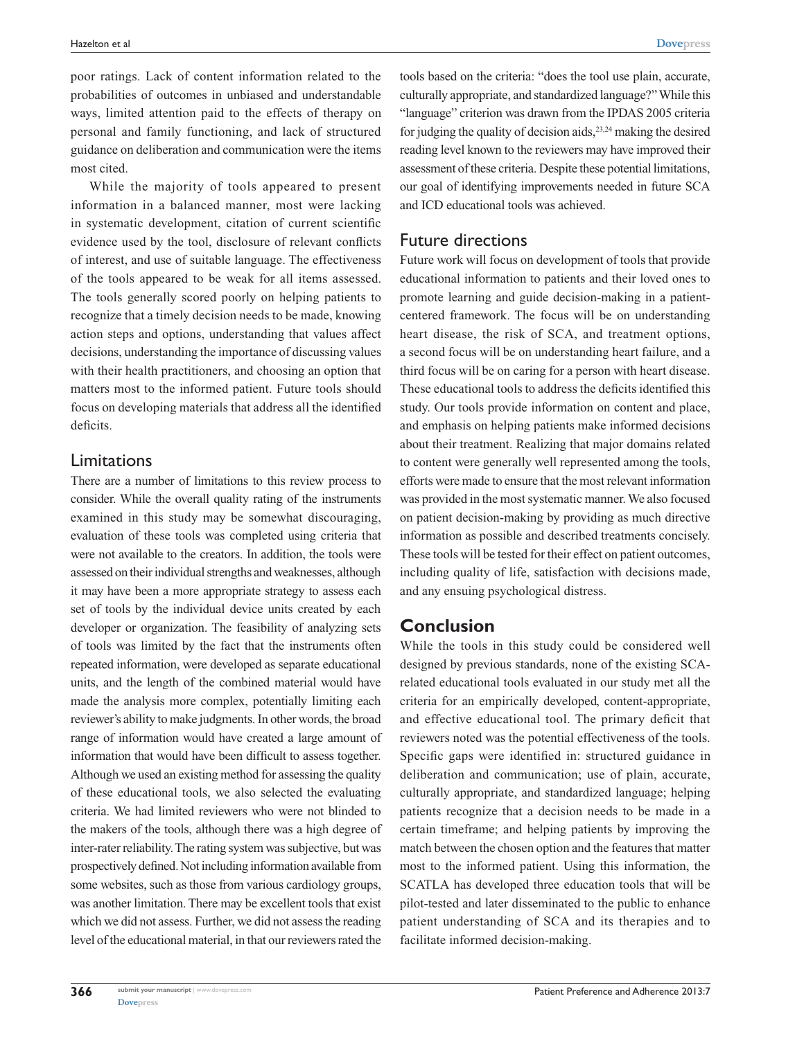poor ratings. Lack of content information related to the probabilities of outcomes in unbiased and understandable ways, limited attention paid to the effects of therapy on personal and family functioning, and lack of structured guidance on deliberation and communication were the items most cited.

While the majority of tools appeared to present information in a balanced manner, most were lacking in systematic development, citation of current scientific evidence used by the tool, disclosure of relevant conflicts of interest, and use of suitable language. The effectiveness of the tools appeared to be weak for all items assessed. The tools generally scored poorly on helping patients to recognize that a timely decision needs to be made, knowing action steps and options, understanding that values affect decisions, understanding the importance of discussing values with their health practitioners, and choosing an option that matters most to the informed patient. Future tools should focus on developing materials that address all the identified deficits.

## Limitations

There are a number of limitations to this review process to consider. While the overall quality rating of the instruments examined in this study may be somewhat discouraging, evaluation of these tools was completed using criteria that were not available to the creators. In addition, the tools were assessed on their individual strengths and weaknesses, although it may have been a more appropriate strategy to assess each set of tools by the individual device units created by each developer or organization. The feasibility of analyzing sets of tools was limited by the fact that the instruments often repeated information, were developed as separate educational units, and the length of the combined material would have made the analysis more complex, potentially limiting each reviewer's ability to make judgments. In other words, the broad range of information would have created a large amount of information that would have been difficult to assess together. Although we used an existing method for assessing the quality of these educational tools, we also selected the evaluating criteria. We had limited reviewers who were not blinded to the makers of the tools, although there was a high degree of inter-rater reliability. The rating system was subjective, but was prospectively defined. Not including information available from some websites, such as those from various cardiology groups, was another limitation. There may be excellent tools that exist which we did not assess. Further, we did not assess the reading level of the educational material, in that our reviewers rated the

tools based on the criteria: "does the tool use plain, accurate, culturally appropriate, and standardized language?" While this "language" criterion was drawn from the IPDAS 2005 criteria for judging the quality of decision aids,  $23,24$  making the desired reading level known to the reviewers may have improved their assessment of these criteria. Despite these potential limitations, our goal of identifying improvements needed in future SCA and ICD educational tools was achieved.

### Future directions

Future work will focus on development of tools that provide educational information to patients and their loved ones to promote learning and guide decision-making in a patientcentered framework. The focus will be on understanding heart disease, the risk of SCA, and treatment options, a second focus will be on understanding heart failure, and a third focus will be on caring for a person with heart disease. These educational tools to address the deficits identified this study. Our tools provide information on content and place, and emphasis on helping patients make informed decisions about their treatment. Realizing that major domains related to content were generally well represented among the tools, efforts were made to ensure that the most relevant information was provided in the most systematic manner. We also focused on patient decision-making by providing as much directive information as possible and described treatments concisely. These tools will be tested for their effect on patient outcomes, including quality of life, satisfaction with decisions made, and any ensuing psychological distress.

# **Conclusion**

While the tools in this study could be considered well designed by previous standards, none of the existing SCArelated educational tools evaluated in our study met all the criteria for an empirically developed, content-appropriate, and effective educational tool. The primary deficit that reviewers noted was the potential effectiveness of the tools. Specific gaps were identified in: structured guidance in deliberation and communication; use of plain, accurate, culturally appropriate, and standardized language; helping patients recognize that a decision needs to be made in a certain timeframe; and helping patients by improving the match between the chosen option and the features that matter most to the informed patient. Using this information, the SCATLA has developed three education tools that will be pilot-tested and later disseminated to the public to enhance patient understanding of SCA and its therapies and to facilitate informed decision-making.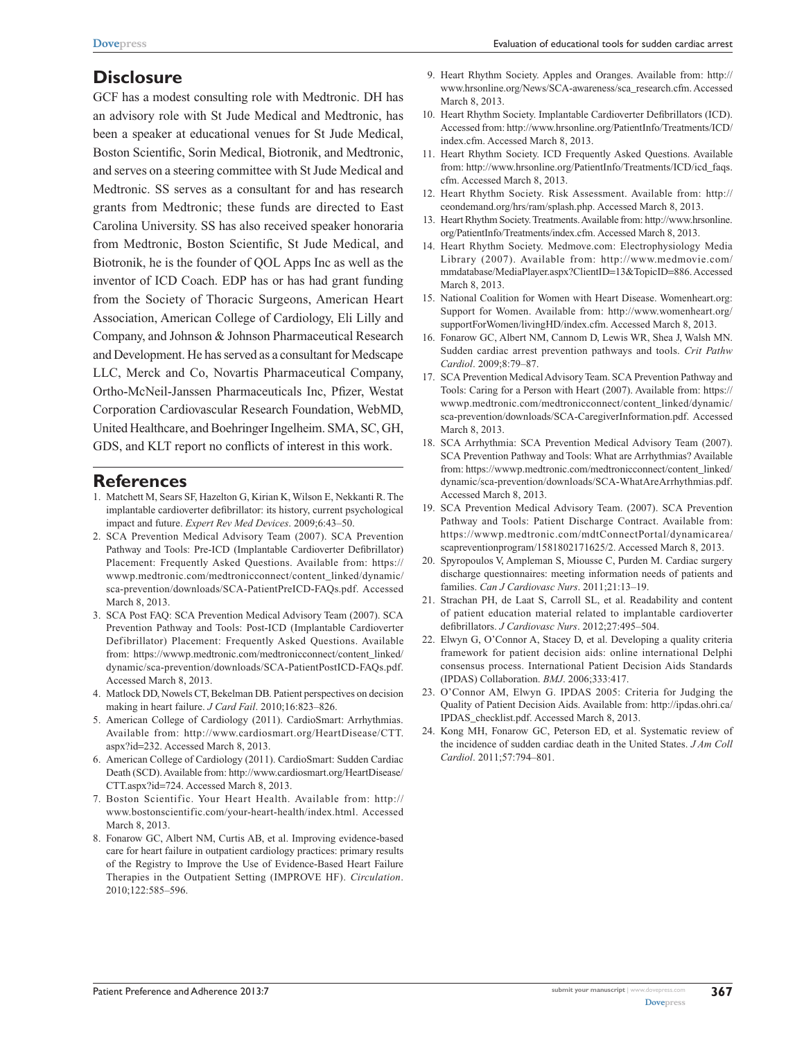### **Disclosure**

GCF has a modest consulting role with Medtronic. DH has an advisory role with St Jude Medical and Medtronic, has been a speaker at educational venues for St Jude Medical, Boston Scientific, Sorin Medical, Biotronik, and Medtronic, and serves on a steering committee with St Jude Medical and Medtronic. SS serves as a consultant for and has research grants from Medtronic; these funds are directed to East Carolina University. SS has also received speaker honoraria from Medtronic, Boston Scientific, St Jude Medical, and Biotronik, he is the founder of QOL Apps Inc as well as the inventor of ICD Coach. EDP has or has had grant funding from the Society of Thoracic Surgeons, American Heart Association, American College of Cardiology, Eli Lilly and Company, and Johnson & Johnson Pharmaceutical Research and Development. He has served as a consultant for Medscape LLC, Merck and Co, Novartis Pharmaceutical Company, Ortho-McNeil-Janssen Pharmaceuticals Inc, Pfizer, Westat Corporation Cardiovascular Research Foundation, WebMD, United Healthcare, and Boehringer Ingelheim. SMA, SC, GH, GDS, and KLT report no conflicts of interest in this work.

#### **References**

- 1. Matchett M, Sears SF, Hazelton G, Kirian K, Wilson E, Nekkanti R. The implantable cardioverter defibrillator: its history, current psychological impact and future. *Expert Rev Med Devices*. 2009;6:43–50.
- 2. SCA Prevention Medical Advisory Team (2007). SCA Prevention Pathway and Tools: Pre-ICD (Implantable Cardioverter Defibrillator) Placement: Frequently Asked Questions. Available from: [https://](https://wwwp.medtronic.com/medtronicconnect/content_linked/dynamic/sca-prevention/downloads/SCA-PatientPreICD-FAQs.pdf) [wwwp.medtronic.com/medtronicconnect/content\\_linked/dynamic/](https://wwwp.medtronic.com/medtronicconnect/content_linked/dynamic/sca-prevention/downloads/SCA-PatientPreICD-FAQs.pdf) [sca-prevention/downloads/SCA-PatientPreICD-FAQs.pdf](https://wwwp.medtronic.com/medtronicconnect/content_linked/dynamic/sca-prevention/downloads/SCA-PatientPreICD-FAQs.pdf). Accessed March 8, 2013.
- 3. SCA Post FAQ: SCA Prevention Medical Advisory Team (2007). SCA Prevention Pathway and Tools: Post-ICD (Implantable Cardioverter Defibrillator) Placement: Frequently Asked Questions. Available from: [https://wwwp.medtronic.com/medtronicconnect/content\\_linked/](https://wwwp.medtronic.com/medtronicconnect/content_linked/dynamic/sca-prevention/downloads/SCA-PatientPostICD-FAQs.pdf) [dynamic/sca-prevention/downloads/SCA-PatientPostICD-FAQs.pdf](https://wwwp.medtronic.com/medtronicconnect/content_linked/dynamic/sca-prevention/downloads/SCA-PatientPostICD-FAQs.pdf). Accessed March 8, 2013.
- 4. Matlock DD, Nowels CT, Bekelman DB. Patient perspectives on decision making in heart failure. *J Card Fail*. 2010;16:823–826.
- 5. American College of Cardiology (2011). CardioSmart: Arrhythmias. Available from: [http://www.cardiosmart.org/HeartDisease/CTT.](http://www.cardiosmart.org/HeartDisease/CTT.aspx?id=232) [aspx?id](http://www.cardiosmart.org/HeartDisease/CTT.aspx?id=232)=232. Accessed March 8, 2013.
- 6. American College of Cardiology (2011). CardioSmart: Sudden Cardiac Death (SCD). Available from: [http://www.cardiosmart.org/HeartDisease/](http://www.cardiosmart.org/HeartDisease/CTT.aspx?id=724) [CTT.aspx?id](http://www.cardiosmart.org/HeartDisease/CTT.aspx?id=724)=724. Accessed March 8, 2013.
- 7. Boston Scientific. Your Heart Health. Available from: [http://](http://www.bostonscientific.com/your-heart-health/index.html) [www.bostonscientific.com/your-heart-health/index.html.](http://www.bostonscientific.com/your-heart-health/index.html) Accessed March 8, 2013.
- 8. Fonarow GC, Albert NM, Curtis AB, et al. Improving evidence-based care for heart failure in outpatient cardiology practices: primary results of the Registry to Improve the Use of Evidence-Based Heart Failure Therapies in the Outpatient Setting (IMPROVE HF). *Circulation*. 2010;122:585–596.
- 9. Heart Rhythm Society. Apples and Oranges. Available from: [http://](http://www.hrsonline.org/News/SCA-awareness/sca_research.cfm) [www.hrsonline.org/News/SCA-awareness/sca\\_research.cfm](http://www.hrsonline.org/News/SCA-awareness/sca_research.cfm). Accessed March 8, 2013.
- 10. Heart Rhythm Society. Implantable Cardioverter Defibrillators (ICD). Accessed from: [http://www.hrsonline.org/PatientInfo/Treatments/ICD/](http://www.hrsonline.org/PatientInfo/Treatments/ICD/index.cfm) [index.cfm.](http://www.hrsonline.org/PatientInfo/Treatments/ICD/index.cfm) Accessed March 8, 2013.
- 11. Heart Rhythm Society. ICD Frequently Asked Questions. Available from: [http://www.hrsonline.org/PatientInfo/Treatments/ICD/icd\\_faqs.](http://www.hrsonline.org/PatientInfo/Treatments/ICD/icd_faqs.cfm) [cfm](http://www.hrsonline.org/PatientInfo/Treatments/ICD/icd_faqs.cfm). Accessed March 8, 2013.
- 12. Heart Rhythm Society. Risk Assessment. Available from: [http://](http://ceondemand.org/hrs/ram/splash.php) [ceondemand.org/hrs/ram/splash.php](http://ceondemand.org/hrs/ram/splash.php). Accessed March 8, 2013.
- 13. Heart Rhythm Society. Treatments. Available from: [http://www.hrsonline.](http://www.hrsonline.org/PatientInfo/Treatments/index.cfm) [org/PatientInfo/Treatments/index.cfm.](http://www.hrsonline.org/PatientInfo/Treatments/index.cfm) Accessed March 8, 2013.
- 14. Heart Rhythm Society. Medmove.com: Electrophysiology Media Library (2007). Available from: [http://www.medmovie.com/](http://www.medmovie.com/mmdatabase/MediaPlayer.aspx?ClientID=13&TopicID=886) [mmdatabase/MediaPlayer.aspx?ClientID](http://www.medmovie.com/mmdatabase/MediaPlayer.aspx?ClientID=13&TopicID=886)=13&TopicID=886. Accessed March 8, 2013.
- 15. National Coalition for Women with Heart Disease. Womenheart.org: Support for Women. Available from: [http://www.womenheart.org/](http://www.womenheart.org/supportForWomen/livingHD/index.cfm) [supportForWomen/livingHD/index.cfm.](http://www.womenheart.org/supportForWomen/livingHD/index.cfm) Accessed March 8, 2013.
- 16. Fonarow GC, Albert NM, Cannom D, Lewis WR, Shea J, Walsh MN. Sudden cardiac arrest prevention pathways and tools. *Crit Pathw Cardiol*. 2009;8:79–87.
- 17. SCA Prevention Medical Advisory Team. SCA Prevention Pathway and Tools: Caring for a Person with Heart (2007). Available from: [https://](https://wwwp.medtronic.com/medtronicconnect/content_linked/dynamic/sca-prevention/downloads/SCA-CaregiverInformation.pdf) [wwwp.medtronic.com/medtronicconnect/content\\_linked/dynamic/](https://wwwp.medtronic.com/medtronicconnect/content_linked/dynamic/sca-prevention/downloads/SCA-CaregiverInformation.pdf) [sca-prevention/downloads/SCA-CaregiverInformation.pdf](https://wwwp.medtronic.com/medtronicconnect/content_linked/dynamic/sca-prevention/downloads/SCA-CaregiverInformation.pdf). Accessed March 8, 2013.
- 18. SCA Arrhythmia: SCA Prevention Medical Advisory Team (2007). SCA Prevention Pathway and Tools: What are Arrhythmias? Available from: [https://wwwp.medtronic.com/medtronicconnect/content\\_linked/](https://wwwp.medtronic.com/medtronicconnect/content_linked/dynamic/sca-prevention/downloads/SCA-WhatAreArrhythmias.pdf) [dynamic/sca-prevention/downloads/SCA-WhatAreArrhythmias.pdf](https://wwwp.medtronic.com/medtronicconnect/content_linked/dynamic/sca-prevention/downloads/SCA-WhatAreArrhythmias.pdf). Accessed March 8, 2013.
- 19. SCA Prevention Medical Advisory Team. (2007). SCA Prevention Pathway and Tools: Patient Discharge Contract. Available from: [https://wwwp.medtronic.com/mdtConnectPortal/dynamicarea/](https://wwwp.medtronic.com/mdtConnectPortal/dynamicarea/scapreventionprogram/1581802171625/2) [scapreventionprogram/1581802171625/2](https://wwwp.medtronic.com/mdtConnectPortal/dynamicarea/scapreventionprogram/1581802171625/2). Accessed March 8, 2013.
- 20. Spyropoulos V, Ampleman S, Miousse C, Purden M. Cardiac surgery discharge questionnaires: meeting information needs of patients and families. *Can J Cardiovasc Nurs*. 2011;21:13–19.
- 21. Strachan PH, de Laat S, Carroll SL, et al. Readability and content of patient education material related to implantable cardioverter defibrillators. *J Cardiovasc Nurs*. 2012;27:495–504.
- 22. Elwyn G, O'Connor A, Stacey D, et al. Developing a quality criteria framework for patient decision aids: online international Delphi consensus process. International Patient Decision Aids Standards (IPDAS) Collaboration. *BMJ*. 2006;333:417.
- 23. O'Connor AM, Elwyn G. IPDAS 2005: Criteria for Judging the Quality of Patient Decision Aids. Available from: [http://ipdas.ohri.ca/](http://ipdas.ohri.ca/IPDAS_checklist.pdf) [IPDAS\\_checklist.pdf](http://ipdas.ohri.ca/IPDAS_checklist.pdf). Accessed March 8, 2013.
- 24. Kong MH, Fonarow GC, Peterson ED, et al. Systematic review of the incidence of sudden cardiac death in the United States. *J Am Coll Cardiol*. 2011;57:794–801.